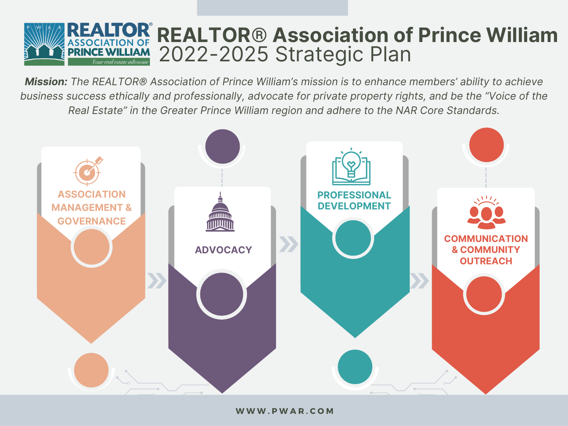

*Mission: The REALTOR® Association of Prince William's mission is to enhance members' ability to achieve business success ethically and professionally, advocate for private property rights, and be the "Voice of the Real Estate" in the Greater Prince William region and adhere to the NAR Core Standards.*

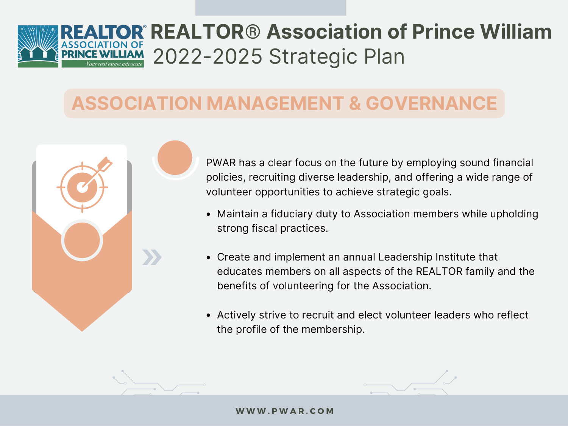## **REALTOR® Association of Prince William** 2022-2025 Strategic Plan

#### **ASSOCIATION MANAGEMENT & GOVERNANCE**



PWAR has a clear focus on the future by employing sound financial policies, recruiting diverse leadership, and offering a wide range of volunteer opportunities to achieve strategic goals.

- Maintain a fiduciary duty to Association members while upholding strong fiscal practices.
- Create and implement an annual Leadership Institute that educates members on all aspects of the REALTOR family and the benefits of volunteering for the Association.
- Actively strive to recruit and elect volunteer leaders who reflect the profile of the membership.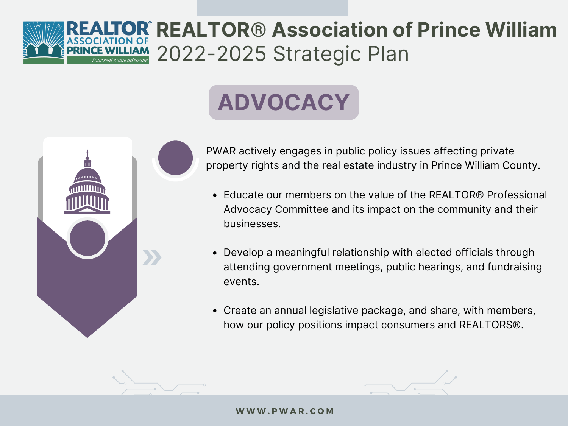## **REALTOR® Association of Prince William** AM 2022-2025 Strategic Plan

# **ADVOCACY**



PWAR actively engages in public policy issues affecting private property rights and the real estate industry in Prince William County.

- Educate our members on the value of the REALTOR® Professional Advocacy Committee and its impact on the community and their businesses.
- Develop a meaningful relationship with elected officials through attending government meetings, public hearings, and fundraising events.
- Create an annual legislative package, and share, with members, how our policy positions impact consumers and REALTORS®.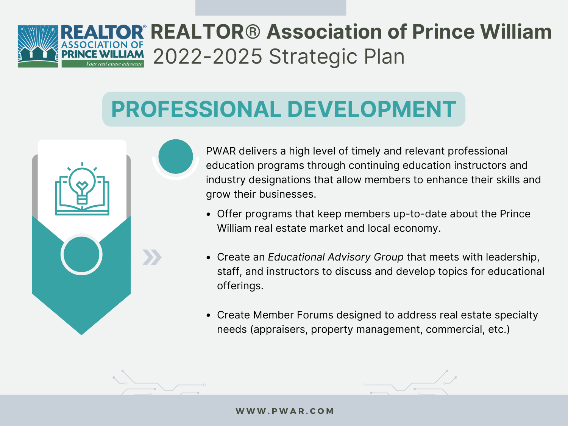### **REALTOR® Association of Prince William** 2022-2025 Strategic Plan

# **PROFESSIONAL DEVELOPMENT**



PWAR delivers a high level of timely and relevant professional education programs through continuing education instructors and industry designations that allow members to enhance their skills and grow their businesses.

- Offer programs that keep members up-to-date about the Prince William real estate market and local economy.
- Create an *Educational Advisory Group* that meets with leadership, staff, and instructors to discuss and develop topics for educational offerings.
- Create Member Forums designed to address real estate specialty needs (appraisers, property management, commercial, etc.)